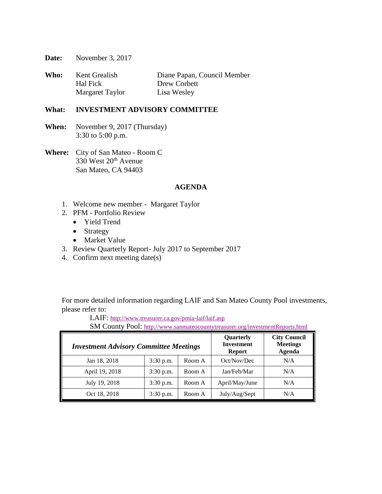**Date:** November 3, 2017

| Who: | Kent Grealish   | Diane Papan, Council Member |
|------|-----------------|-----------------------------|
|      | Hal Fick        | Drew Corbett                |
|      | Margaret Taylor | Lisa Wesley                 |

### **What: INVESTMENT ADVISORY COMMITTEE**

- **When:** November 9, 2017 (Thursday) 3:30 to 5:00 p.m.
- **Where:** City of San Mateo Room C 330 West  $20<sup>th</sup>$  Avenue San Mateo, CA 94403

### **AGENDA**

- 1. Welcome new member Margaret Taylor
- 2. PFM Portfolio Review
	- Yield Trend
	- Strategy
	- Market Value
- 3. Review Quarterly Report- July 2017 to September 2017
- 4. Confirm next meeting date(s)

For more detailed information regarding LAIF and San Mateo County Pool investments, please refer to:

LAIF: <http://www.treasurer.ca.gov/pmia-laif/laif.asp>

SM County Pool: <http://www.sanmateocountytreasurer.org/investmentReports.html>

| <b>Investment Advisory Committee Meetings</b> | Quarterly<br><b>Investment</b><br><b>Report</b> | <b>City Council</b><br><b>Meetings</b><br>Agenda |                |     |
|-----------------------------------------------|-------------------------------------------------|--------------------------------------------------|----------------|-----|
| Jan 18, 2018                                  | $3:30$ p.m.                                     | Room A                                           | Oct/Nov/Dec    | N/A |
| April 19, 2018                                | $3:30$ p.m.                                     | Room A                                           | Jan/Feb/Mar    | N/A |
| July 19, 2018                                 | $3:30$ p.m.                                     | Room A                                           | April/May/June | N/A |
| Oct 18, 2018                                  | $3:30$ p.m.                                     | Room A                                           | July/Aug/Sept  | N/A |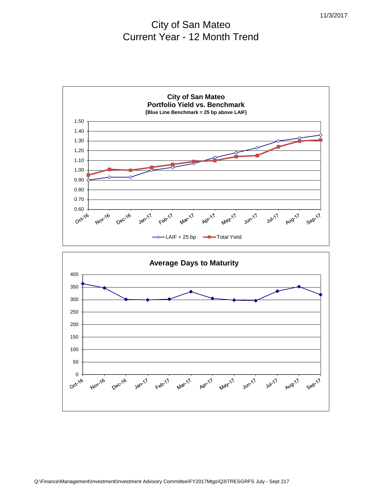# City of San Mateo Current Year - 12 Month Trend



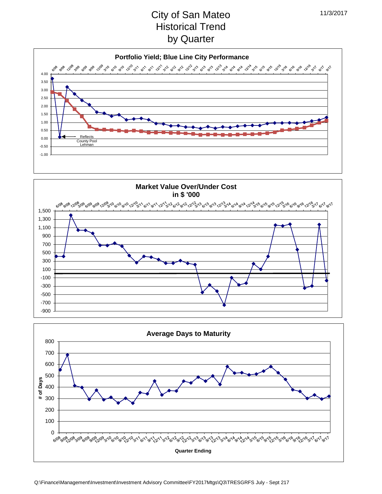# City of San Mateo Historical Trend by Quarter





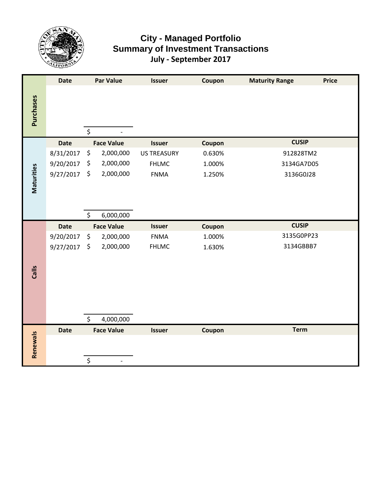

### **City - Managed Portfolio Summary of Investment Transactions July - September 2017**

|            | <b>Date</b> | <b>Par Value</b>  | <b>Issuer</b>      | Coupon | <b>Maturity Range</b> | <b>Price</b> |
|------------|-------------|-------------------|--------------------|--------|-----------------------|--------------|
| Purchases  |             | \$                |                    |        |                       |              |
|            | <b>Date</b> | <b>Face Value</b> | <b>Issuer</b>      | Coupon | <b>CUSIP</b>          |              |
|            | 8/31/2017   | \$<br>2,000,000   | <b>US TREASURY</b> | 0.630% | 912828TM2             |              |
|            | 9/20/2017   | \$<br>2,000,000   | <b>FHLMC</b>       | 1.000% | 3134GA7D05            |              |
| Maturities | 9/27/2017   | \$<br>2,000,000   | <b>FNMA</b>        | 1.250% | 3136G0J28             |              |
|            |             | \$<br>6,000,000   |                    |        |                       |              |
|            | <b>Date</b> | <b>Face Value</b> | <b>Issuer</b>      | Coupon | <b>CUSIP</b>          |              |
|            | 9/20/2017   | \$<br>2,000,000   | <b>FNMA</b>        | 1.000% | 3135G0PP23            |              |
|            | 9/27/2017   | \$<br>2,000,000   | <b>FHLMC</b>       | 1.630% | 3134GBBB7             |              |
|            |             |                   |                    |        |                       |              |
| Calls      |             |                   |                    |        |                       |              |
|            |             |                   |                    |        |                       |              |
|            |             |                   |                    |        |                       |              |
|            |             |                   |                    |        |                       |              |
|            |             | \$<br>4,000,000   |                    |        |                       |              |
|            | <b>Date</b> | <b>Face Value</b> | <b>Issuer</b>      | Coupon | <b>Term</b>           |              |
|            |             |                   |                    |        |                       |              |
| Renewals   |             |                   |                    |        |                       |              |
|            |             | \$                |                    |        |                       |              |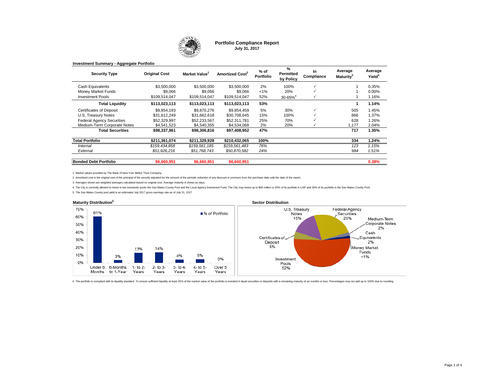

**Portfolio Compliance Report July 31, 2017**

| <b>Security Type</b>             | <b>Original Cost</b> | Market Value  | <b>Amortized Cost<sup>2</sup></b> | % of<br><b>Portfolio</b> | %<br><b>Permitted</b><br>by Policy | In<br>Compliance | Average<br>Maturity <sup>3</sup> | Average<br>Yield <sup>5</sup> |
|----------------------------------|----------------------|---------------|-----------------------------------|--------------------------|------------------------------------|------------------|----------------------------------|-------------------------------|
| Cash Equivalents                 | \$3,500,000          | \$3,500,000   | \$3,500,000                       | 2%                       | 100%                               | $\checkmark$     |                                  | 0.35%                         |
| Money Market Funds               | \$9,066              | \$9,066       | \$9.066                           | $< 1\%$                  | 20%                                |                  |                                  | 0.00%                         |
| <b>Investment Pools</b>          | \$109,514,047        | \$109,514,047 | \$109,514,047                     | 52%                      | $30 - 65\%$ <sup>4</sup>           | ✓                |                                  | 1.16%                         |
| <b>Total Liquidity</b>           | \$113,023,113        | \$113,023,113 | \$113,023,113                     | 53%                      |                                    |                  |                                  | 1.14%                         |
| <b>Certificates of Deposit</b>   | \$9.854.193          | \$9,870,276   | \$9,854,459                       | 5%                       | 30%                                |                  | 505                              | 1.45%                         |
| U.S. Treasury Notes              | \$31,612,249         | \$31,662,618  | \$30,708,645                      | 15%                      | 100%                               |                  | 866                              | 1.37%                         |
| <b>Federal Agency Securities</b> | \$52,329,997         | \$52,233,567  | \$52,311,781                      | 25%                      | 70%                                |                  | 628                              | 1.26%                         |
| Medium-Term Corporate Notes      | \$4.541.523          | \$4.540.355   | \$4.534.068                       | 2%                       | 20%                                |                  | .177                             | 2.04%                         |
| <b>Total Securities</b>          | \$98,337,961         | \$98,306,816  | \$97,408,952                      | 47%                      |                                    |                  | 717                              | 1.35%                         |
| <b>Total Portfolio</b>           | \$211,361,074        | \$211.329.928 | \$210,432,065                     | 100%                     |                                    |                  | 334                              | 1.24%                         |
| Internal                         | \$159,434,858        | \$159,561,185 | \$159,561,483                     | 76%                      |                                    |                  | 123                              | 1.15%                         |
| External                         | \$51,926,216         | \$51.768.743  | \$50.870.582                      | 24%                      |                                    |                  | 984                              | 1.51%                         |
| <b>Bonded Debt Portfolio</b>     | \$6,660,951          | \$6,660,951   | \$6,660,951                       |                          |                                    |                  |                                  | 0.38%                         |

**Investment Summary - Aggregate Portfolio**

1. Market values provided by The Bank of New York Mellon Trust Company.

2. Amortized cost is the original cost of the principal of the security adjusted for the amount of the periodic reduction of any discount or premium from the purchase date until the date of the report.

3. Averages shown are weighted averages calculated based on original cost. Average maturity is shown as days.

4. The City is currently allowed to invest in two investents pools-the San Mateo County Pool and the Local Agency Investment Fund. The City may invest up to \$65 million or 65% of its portfolio in LAIF and 30% of its portfo

5. The San Mateo County pool yield is an estimated July 2017 gross earnings rate as of July 31, 2017



6. The portfolio is compliant with its liquidity standard. To ensure sufficient liquidity at least 25% of the market value of the portfolio is invested in liquid securities or deposits with a remaining maturity of six mont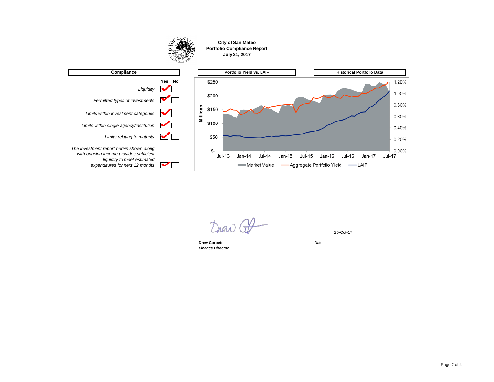#### **City of San Mateo Portfolio Compliance Report July 31, 2017**



**Drew Corbett** Date *Finance Director*

25-Oct-17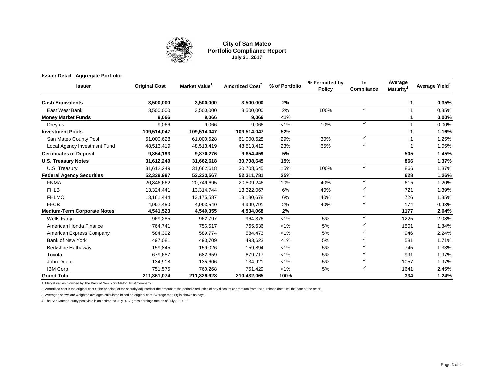

#### **City of San Mateo Portfolio Compliance Report July 31, 2017**

| <b>Issuer Detail - Aggregate Portfolio</b> |                      |              |                             |                |                                 |                   |                                  |                            |
|--------------------------------------------|----------------------|--------------|-----------------------------|----------------|---------------------------------|-------------------|----------------------------------|----------------------------|
| <b>Issuer</b>                              | <b>Original Cost</b> | Market Value | Amortized Cost <sup>2</sup> | % of Portfolio | % Permitted by<br><b>Policy</b> | In.<br>Compliance | Average<br>Maturity <sup>3</sup> | Average Yield <sup>4</sup> |
| <b>Cash Equivalents</b>                    | 3,500,000            | 3,500,000    | 3,500,000                   | 2%             |                                 |                   |                                  | 0.35%                      |
| East West Bank                             | 3,500,000            | 3.500.000    | 3,500,000                   | 2%             | 100%                            | ✓                 |                                  | 0.35%                      |
| <b>Money Market Funds</b>                  | 9,066                | 9,066        | 9,066                       | 1%             |                                 |                   |                                  | 0.00%                      |
| Dreyfus                                    | 9.066                | 9.066        | 9.066                       | $1\%$          | 10%                             | $\checkmark$      |                                  | 0.00%                      |
| <b>Investment Pools</b>                    | 109,514,047          | 109,514,047  | 109,514,047                 | 52%            |                                 |                   |                                  | 1.16%                      |
| San Mateo County Pool                      | 61,000,628           | 61,000,628   | 61,000,628                  | 29%            | 30%                             | $\checkmark$      |                                  | 1.25%                      |
| Local Agency Investment Fund               | 48,513,419           | 48,513,419   | 48,513,419                  | 23%            | 65%                             | ✓                 |                                  | 1.05%                      |
| <b>Certificates of Deposit</b>             | 9,854,193            | 9,870,276    | 9,854,459                   | 5%             |                                 |                   | 505                              | 1.45%                      |
| <b>U.S. Treasury Notes</b>                 | 31,612,249           | 31,662,618   | 30,708,645                  | 15%            |                                 |                   | 866                              | 1.37%                      |
| U.S. Treasury                              | 31,612,249           | 31,662,618   | 30,708,645                  | 15%            | 100%                            | $\checkmark$      | 866                              | 1.37%                      |
| <b>Federal Agency Securities</b>           | 52,329,997           | 52,233,567   | 52,311,781                  | 25%            |                                 |                   | 628                              | 1.26%                      |
| <b>FNMA</b>                                | 20,846,662           | 20,749,695   | 20,809,246                  | 10%            | 40%                             | $\checkmark$      | 615                              | 1.20%                      |
| <b>FHLB</b>                                | 13,324,441           | 13,314,744   | 13,322,067                  | 6%             | 40%                             | ✓                 | 721                              | 1.39%                      |
| <b>FHLMC</b>                               | 13,161,444           | 13,175,587   | 13,180,678                  | 6%             | 40%                             | ✓                 | 726                              | 1.35%                      |
| <b>FFCB</b>                                | 4,997,450            | 4,993,540    | 4,999,791                   | 2%             | 40%                             | $\checkmark$      | 174                              | 0.93%                      |
| <b>Medium-Term Corporate Notes</b>         | 4,541,523            | 4,540,355    | 4,534,068                   | 2%             |                                 |                   | 1177                             | 2.04%                      |
| Wells Fargo                                | 969,285              | 962,797      | 964,376                     | $< 1\%$        | 5%                              | ✓                 | 1225                             | 2.08%                      |
| American Honda Finance                     | 764,741              | 756,517      | 765,636                     | $< 1\%$        | 5%                              |                   | 1501                             | 1.84%                      |
| American Express Company                   | 584,392              | 589,774      | 584,473                     | $< 1\%$        | 5%                              | ✓                 | 946                              | 2.24%                      |
| <b>Bank of New York</b>                    | 497,081              | 493,709      | 493,623                     | $< 1\%$        | 5%                              |                   | 581                              | 1.71%                      |
| <b>Berkshire Hathaway</b>                  | 159,845              | 159,026      | 159,894                     | $1\%$          | 5%                              |                   | 745                              | 1.33%                      |
| Toyota                                     | 679,687              | 682,659      | 679,717                     | $< 1\%$        | 5%                              | ✓                 | 991                              | 1.97%                      |
| John Deere                                 | 134,918              | 135,606      | 134,921                     | $< 1\%$        | 5%                              |                   | 1057                             | 1.97%                      |
| <b>IBM Corp</b>                            | 751,575              | 760,268      | 751,429                     | $< 1\%$        | 5%                              | ✓                 | 1641                             | 2.45%                      |
| <b>Grand Total</b>                         | 211,361,074          | 211,329,928  | 210,432,065                 | 100%           |                                 |                   | 334                              | 1.24%                      |

1. Market values provided by The Bank of New York Mellon Trust Company.

2. Amortized cost is the original cost of the principal of the security adjusted for the amount of the periodic reduction of any discount or premium from the purchase date until the date of the report.

3. Averages shown are weighted averages calculated based on original cost. Average maturity is shown as days.

4. The San Mateo County pool yield is an estimated July 2017 gross earnings rate as of July 31, 2017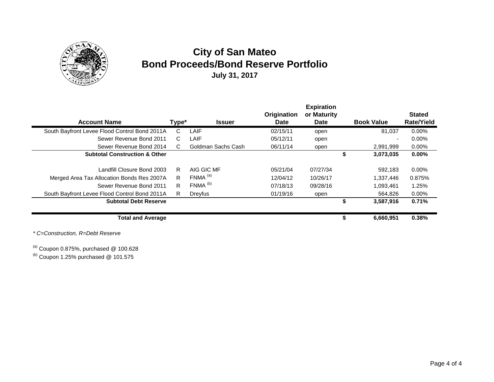

## **City of San Mateo Bond Proceeds/Bond Reserve Portfolio July 31, 2017**

|                                               |       |                       |             | <b>Expiration</b> |    |                          |                   |
|-----------------------------------------------|-------|-----------------------|-------------|-------------------|----|--------------------------|-------------------|
|                                               |       |                       | Origination | or Maturity       |    |                          | <b>Stated</b>     |
| <b>Account Name</b>                           | Type* | <b>Issuer</b>         | Date        | <b>Date</b>       |    | <b>Book Value</b>        | <b>Rate/Yield</b> |
| South Bayfront Levee Flood Control Bond 2011A | C     | LAIF                  | 02/15/11    | open              |    | 81.037                   | 0.00%             |
| Sewer Revenue Bond 2011                       | C.    | LAIF                  | 05/12/11    | open              |    | $\overline{\phantom{0}}$ | 0.00%             |
| Sewer Revenue Bond 2014                       | C.    | Goldman Sachs Cash    | 06/11/14    | open              |    | 2,991,999                | 0.00%             |
| <b>Subtotal Construction &amp; Other</b>      |       |                       |             |                   |    | 3,073,035                | $0.00\%$          |
|                                               |       |                       |             |                   |    |                          |                   |
| Landfill Closure Bond 2003                    | R     | AIG GIC MF            | 05/21/04    | 07/27/34          |    | 592.183                  | $0.00\%$          |
| Merged Area Tax Allocation Bonds Res 2007A    | R     | $FNMA$ <sup>(a)</sup> | 12/04/12    | 10/26/17          |    | 1,337,446                | 0.875%            |
| Sewer Revenue Bond 2011                       | R.    | FNMA <sup>(b)</sup>   | 07/18/13    | 09/28/16          |    | 1.093.461                | 1.25%             |
| South Bayfront Levee Flood Control Bond 2011A | R.    | Dreyfus               | 01/19/16    | open              |    | 564,826                  | 0.00%             |
| <b>Subtotal Debt Reserve</b>                  |       |                       |             |                   | S  | 3,587,916                | 0.71%             |
|                                               |       |                       |             |                   |    |                          |                   |
| <b>Total and Average</b>                      |       |                       |             |                   | \$ | 6.660.951                | 0.38%             |

*\* C=Construction, R=Debt Reserve*

 $^{(a)}$  Coupon 0.875%, purchased @ 100.628

 $<sup>(b)</sup>$  Coupon 1.25% purchased @ 101.575</sup>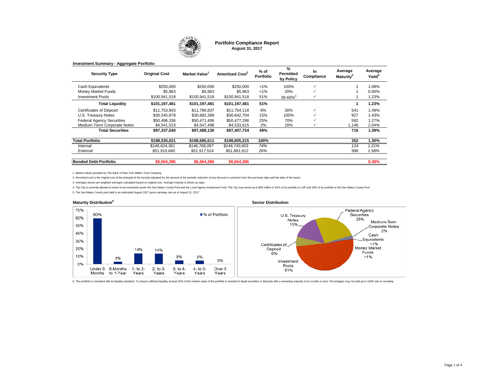

**Portfolio Compliance Report August 31, 2017**

| <b>Security Type</b>             | <b>Original Cost</b> | Market Value <sup>1</sup> | Amortized Cost <sup>2</sup> | % of<br>Portfolio | %<br><b>Permitted</b><br>by Policy | In<br>Compliance | Average<br>Maturity <sup>3</sup> | Average<br>Yield <sup>5</sup> |
|----------------------------------|----------------------|---------------------------|-----------------------------|-------------------|------------------------------------|------------------|----------------------------------|-------------------------------|
| Cash Equivalents                 | \$250,000            | \$250,000                 | \$250,000                   | $< 1\%$           | 100%                               | $\checkmark$     |                                  | 1.08%                         |
| Money Market Funds               | \$5.963              | \$5.963                   | \$5.963                     | $< 1\%$           | 20%                                | $\checkmark$     |                                  | $0.00\%$                      |
| <b>Investment Pools</b>          | \$100.941.518        | \$100.941.518             | \$100.941.518               | 51%               | $30 - 65%$ <sup>4</sup>            | $\checkmark$     |                                  | 1.23%                         |
| <b>Total Liquidity</b>           | \$101,197,481        | \$101,197,481             | \$101,197,481               | 51%               |                                    |                  |                                  | 1.23%                         |
| <b>Certificates of Deposit</b>   | \$11,753,803         | \$11.786.837              | \$11.754.118                | 6%                | 30%                                | $\checkmark$     | 541                              | 1.49%                         |
| U.S. Treasury Notes              | \$30.545.879         | \$30.682.389              | \$30.642.704                | 15%               | 100%                               | $\checkmark$     | 927                              | 1.43%                         |
| <b>Federal Agency Securities</b> | \$50,496,336         | \$50,471,406              | \$50,477,296                | 25%               | 70%                                | $\checkmark$     | 592                              | 1.27%                         |
| Medium-Term Corporate Notes      | \$4.541.523          | \$4.547.498               | \$4,533,615                 | 2%                | 20%                                | v                | 1,146                            | 2.04%                         |
| <b>Total Securities</b>          | \$97,337,540         | \$97,488,130              | \$97,407,734                | 49%               |                                    |                  | 716                              | 1.39%                         |
| <b>Total Portfolio</b>           | \$198,535,021        | \$198,685,611             | \$198,605,215               | 100%              |                                    |                  | 352                              | 1.30%                         |
| Internal                         | \$146,624,361        | \$146,768,097             | \$146,743,603               | 74%               |                                    |                  | 124                              | 1.21%                         |
| External                         | \$51,910,660         | \$51,917,514              | \$51,861,612                | 26%               |                                    |                  | 996                              | 1.58%                         |
|                                  |                      |                           |                             |                   |                                    |                  |                                  |                               |
| <b>Bonded Debt Portfolio</b>     | \$6,664,386          | \$6,664,386               | \$6,664,386                 |                   |                                    |                  |                                  | 0.38%                         |
|                                  |                      |                           |                             |                   |                                    |                  |                                  |                               |

**Investment Summary - Aggregate Portfolio**

1. Market values provided by The Bank of New York Mellon Trust Company.

2. Amortized cost is the original cost of the principal of the security adjusted for the amount of the periodic reduction of any discount or premium from the purchase date until the date of the report.

3. Averages shown are weighted averages calculated based on original cost. Average maturity is shown as days.

4. The City is currently allowed to invest in two investents pools-the San Mateo County Pool and the Local Agency Investment Fund. The City may invest up to \$65 million or 65% of its portfolio in LAIF and 30% of its portfo

5. The San Mateo County pool yield is an estimated August 2017 gross earnings rate as of August 31, 2017



6. The portfolio is compliant with its liquidity standard. To ensure sufficient liquidity at least 25% of the market value of the portfolio is invested in liquid securities or deposits with a remaining maturity of six mont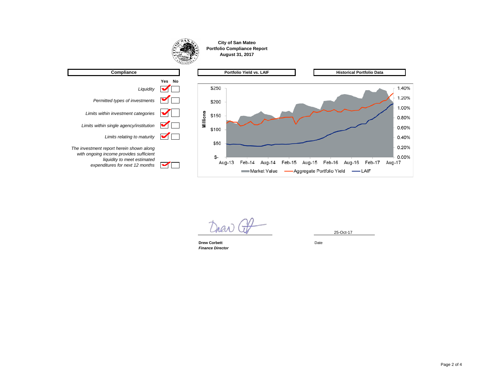

**Drew Corbett** Date *Finance Director*

25-Oct-17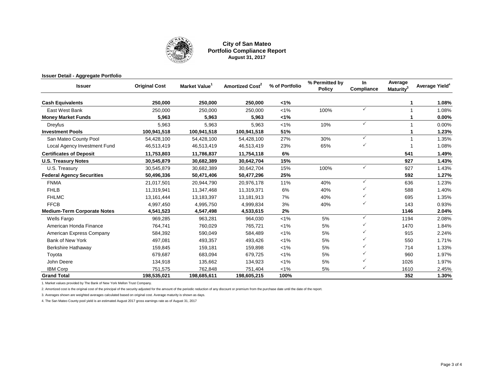

#### **City of San Mateo Portfolio Compliance Report August 31, 2017**

| <b>Issuer Detail - Aggregate Portfolio</b> |                      |                           |                             |                |                                 |                  |                                  |                            |
|--------------------------------------------|----------------------|---------------------------|-----------------------------|----------------|---------------------------------|------------------|----------------------------------|----------------------------|
| <b>Issuer</b>                              | <b>Original Cost</b> | Market Value <sup>1</sup> | Amortized Cost <sup>2</sup> | % of Portfolio | % Permitted by<br><b>Policy</b> | In<br>Compliance | Average<br>Maturity <sup>3</sup> | Average Yield <sup>4</sup> |
| <b>Cash Equivalents</b>                    | 250.000              | 250,000                   | 250,000                     | 1%             |                                 |                  |                                  | 1.08%                      |
| East West Bank                             | 250,000              | 250,000                   | 250,000                     | $< 1\%$        | 100%                            | ✓                |                                  | 1.08%                      |
| <b>Money Market Funds</b>                  | 5,963                | 5,963                     | 5,963                       | 1%             |                                 |                  |                                  | 0.00%                      |
| Dreyfus                                    | 5.963                | 5.963                     | 5.963                       | $< 1\%$        | 10%                             | ✓                |                                  | 0.00%                      |
| <b>Investment Pools</b>                    | 100,941,518          | 100,941,518               | 100,941,518                 | 51%            |                                 |                  |                                  | 1.23%                      |
| San Mateo County Pool                      | 54,428,100           | 54,428,100                | 54,428,100                  | 27%            | 30%                             | ✓                |                                  | 1.35%                      |
| Local Agency Investment Fund               | 46,513,419           | 46,513,419                | 46,513,419                  | 23%            | 65%                             |                  |                                  | 1.08%                      |
| <b>Certificates of Deposit</b>             | 11,753,803           | 11,786,837                | 11,754,118                  | 6%             |                                 |                  | 541                              | 1.49%                      |
| <b>U.S. Treasury Notes</b>                 | 30,545,879           | 30,682,389                | 30,642,704                  | 15%            |                                 |                  | 927                              | 1.43%                      |
| U.S. Treasury                              | 30,545,879           | 30,682,389                | 30,642,704                  | 15%            | 100%                            | ✓                | 927                              | 1.43%                      |
| <b>Federal Agency Securities</b>           | 50,496,336           | 50,471,406                | 50,477,296                  | 25%            |                                 |                  | 592                              | 1.27%                      |
| <b>FNMA</b>                                | 21,017,501           | 20,944,790                | 20,976,178                  | 11%            | 40%                             | $\checkmark$     | 636                              | 1.23%                      |
| <b>FHLB</b>                                | 11,319,941           | 11,347,468                | 11,319,371                  | 6%             | 40%                             | ✓                | 588                              | 1.40%                      |
| <b>FHLMC</b>                               | 13,161,444           | 13,183,397                | 13,181,913                  | 7%             | 40%                             | ✓                | 695                              | 1.35%                      |
| <b>FFCB</b>                                | 4,997,450            | 4,995,750                 | 4,999,834                   | 3%             | 40%                             | ✓                | 143                              | 0.93%                      |
| <b>Medium-Term Corporate Notes</b>         | 4,541,523            | 4,547,498                 | 4,533,615                   | 2%             |                                 |                  | 1146                             | 2.04%                      |
| Wells Fargo                                | 969,285              | 963,281                   | 964,030                     | $< 1\%$        | 5%                              | ✓                | 1194                             | 2.08%                      |
| American Honda Finance                     | 764,741              | 760,029                   | 765,721                     | $< 1\%$        | 5%                              |                  | 1470                             | 1.84%                      |
| American Express Company                   | 584,392              | 590,049                   | 584,489                     | $< 1\%$        | 5%                              | ✓                | 915                              | 2.24%                      |
| <b>Bank of New York</b>                    | 497,081              | 493,357                   | 493,426                     | $< 1\%$        | 5%                              |                  | 550                              | 1.71%                      |
| Berkshire Hathaway                         | 159,845              | 159,181                   | 159,898                     | $< 1\%$        | 5%                              |                  | 714                              | 1.33%                      |
| Toyota                                     | 679,687              | 683,094                   | 679,725                     | $< 1\%$        | 5%                              |                  | 960                              | 1.97%                      |
| John Deere                                 | 134,918              | 135,662                   | 134,923                     | $< 1\%$        | 5%                              |                  | 1026                             | 1.97%                      |
| <b>IBM Corp</b>                            | 751,575              | 762,848                   | 751,404                     | $< 1\%$        | 5%                              | ✓                | 1610                             | 2.45%                      |
| <b>Grand Total</b>                         | 198,535,021          | 198,685,611               | 198,605,215                 | 100%           |                                 |                  | 352                              | 1.30%                      |

1. Market values provided by The Bank of New York Mellon Trust Company.

2. Amortized cost is the original cost of the principal of the security adjusted for the amount of the periodic reduction of any discount or premium from the purchase date until the date of the report.

3. Averages shown are weighted averages calculated based on original cost. Average maturity is shown as days.

4. The San Mateo County pool yield is an estimated August 2017 gross earnings rate as of August 31, 2017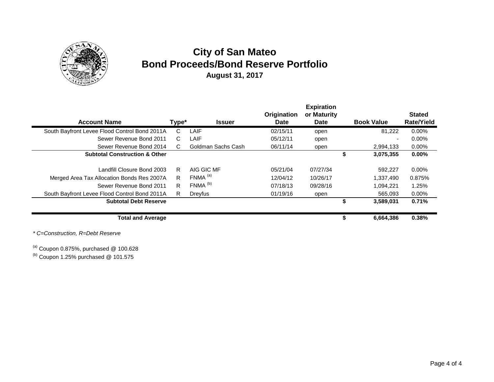

## **City of San Mateo Bond Proceeds/Bond Reserve Portfolio August 31, 2017**

|                                               |       |                       |             | <b>Expiration</b> |    |                          |                   |
|-----------------------------------------------|-------|-----------------------|-------------|-------------------|----|--------------------------|-------------------|
|                                               |       |                       | Origination | or Maturity       |    |                          | <b>Stated</b>     |
| <b>Account Name</b>                           | Type* | <b>Issuer</b>         | Date        | <b>Date</b>       |    | <b>Book Value</b>        | <b>Rate/Yield</b> |
| South Bayfront Levee Flood Control Bond 2011A | C     | LAIF                  | 02/15/11    | open              |    | 81.222                   | $0.00\%$          |
| Sewer Revenue Bond 2011                       | C.    | LAIF                  | 05/12/11    | open              |    | $\overline{\phantom{0}}$ | 0.00%             |
| Sewer Revenue Bond 2014                       | C.    | Goldman Sachs Cash    | 06/11/14    | open              |    | 2,994,133                | 0.00%             |
| <b>Subtotal Construction &amp; Other</b>      |       |                       |             |                   |    | 3,075,355                | $0.00\%$          |
|                                               |       |                       |             |                   |    |                          |                   |
| Landfill Closure Bond 2003                    | R     | AIG GIC MF            | 05/21/04    | 07/27/34          |    | 592,227                  | $0.00\%$          |
| Merged Area Tax Allocation Bonds Res 2007A    | R     | $FNMA$ <sup>(a)</sup> | 12/04/12    | 10/26/17          |    | 1,337,490                | 0.875%            |
| Sewer Revenue Bond 2011                       | R.    | FNMA <sup>(b)</sup>   | 07/18/13    | 09/28/16          |    | 1.094.221                | 1.25%             |
| South Bayfront Levee Flood Control Bond 2011A | R.    | Dreyfus               | 01/19/16    | open              |    | 565,093                  | 0.00%             |
| <b>Subtotal Debt Reserve</b>                  |       |                       |             |                   | S  | 3,589,031                | 0.71%             |
|                                               |       |                       |             |                   |    |                          |                   |
| <b>Total and Average</b>                      |       |                       |             |                   | \$ | 6.664.386                | 0.38%             |

*\* C=Construction, R=Debt Reserve*

 $^{(a)}$  Coupon 0.875%, purchased @ 100.628

 $<sup>(b)</sup>$  Coupon 1.25% purchased @ 101.575</sup>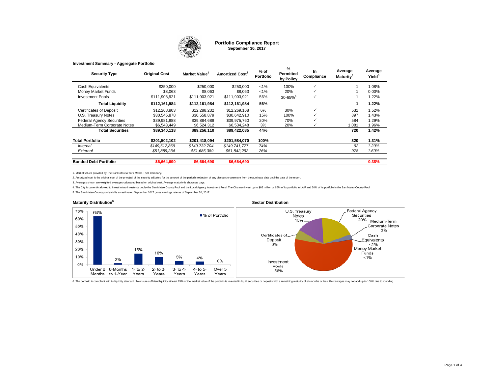

**Portfolio Compliance Report September 30, 2017**

**%** 

| Contribution | Original Cast | $M = -1 - 4M$ |
|--------------|---------------|---------------|
|              |               |               |

**Investment Summary - Aggregate Portfolio**

| <b>Security Type</b>             | <b>Original Cost</b> | Market Value  | Amortized Cost <sup>2</sup> | % of<br><b>Portfolio</b> | %<br><b>Permitted</b><br>by Policy | In<br>Compliance | Average<br>Maturitv <sup>3</sup> | Average<br>Yield <sup>5</sup> |
|----------------------------------|----------------------|---------------|-----------------------------|--------------------------|------------------------------------|------------------|----------------------------------|-------------------------------|
| Cash Equivalents                 | \$250,000            | \$250,000     | \$250,000                   | $< 1\%$                  | 100%                               |                  |                                  | 1.08%                         |
| Money Market Funds               | \$8,063              | \$8.063       | \$8.063                     | $< 1\%$                  | 20%                                |                  |                                  | 0.00%                         |
| <b>Investment Pools</b>          | \$111,903,921        | \$111,903,921 | \$111,903,921               | 56%                      | $30 - 65%$ <sup>4</sup>            |                  |                                  | 1.22%                         |
| <b>Total Liquidity</b>           | \$112,161,984        | \$112,161,984 | \$112,161,984               | 56%                      |                                    |                  |                                  | 1.22%                         |
| <b>Certificates of Deposit</b>   | \$12,268,803         | \$12,288,232  | \$12,269,168                | 6%                       | 30%                                | $\checkmark$     | 531                              | 1.52%                         |
| U.S. Treasury Notes              | \$30,545,878         | \$30,558,879  | \$30,642,910                | 15%                      | 100%                               |                  | 897                              | 1.43%                         |
| <b>Federal Agency Securities</b> | \$39,981,988         | \$39,884,688  | \$39,975,760                | 20%                      | 70%                                |                  | 584                              | 1.29%                         |
| Medium-Term Corporate Notes      | \$6,543,449          | \$6,524,312   | \$6,534,248                 | 3%                       | 20%                                |                  | 1,081                            | 1.96%                         |
| <b>Total Securities</b>          | \$89,340,118         | \$89,256,110  | \$89.422.085                | 44%                      |                                    |                  | 720                              | 1.42%                         |
| <b>Total Portfolio</b>           | \$201,502,102        | \$201,418,094 | \$201.584.070               | 100%                     |                                    |                  | 320                              | 1.31%                         |
| Internal                         | \$149,612,869        | \$149,732,704 | \$149,741,777               | 74%                      |                                    |                  | 92                               | 1.20%                         |
| External                         | \$51.889.234         | \$51.685.389  | \$51.842.292                | 26%                      |                                    |                  | 978                              | 1.60%                         |
| <b>Bonded Debt Portfolio</b>     | \$6,664,690          | \$6,664,690   | \$6,664,690                 |                          |                                    |                  |                                  | 0.38%                         |

1. Market values provided by The Bank of New York Mellon Trust Company.

2. Amortized cost is the original cost of the principal of the security adjusted for the amount of the periodic reduction of any discount or premium from the purchase date until the date of the report.

3. Averages shown are weighted averages calculated based on original cost. Average maturity is shown as days.

4. The City is currently allowed to invest in two investents pools-the San Mateo County Pool and the Local Agency Investment Fund. The City may invest up to \$65 million or 65% of its portfolio in LAIF and 30% of its portfo

5. The San Mateo County pool yield is an estimated September 2017 gross earnings rate as of September 30, 2017



6. The portfolio is compliant with its liquidity standard. To ensure sufficient liquidity at least 25% of the market value of the portfolio is invested in liquid securities or deposits with a remaining maturity of six mont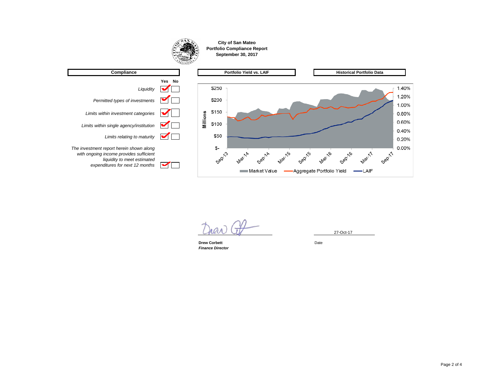

**Drew Corbett** Date *Finance Director*

27-Oct-17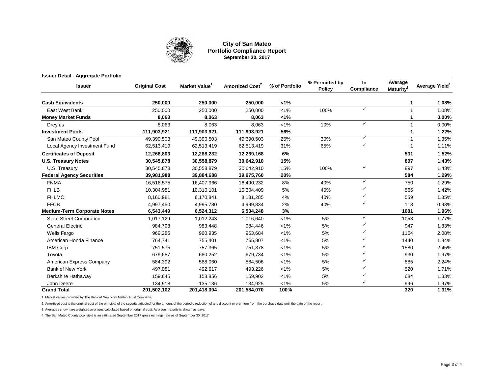

#### **City of San Mateo Portfolio Compliance Report September 30, 2017**

| <b>Issuer Detail - Aggregate Portfolio</b> |                      |                           |                             |                |                                 |                  |                                  |                            |
|--------------------------------------------|----------------------|---------------------------|-----------------------------|----------------|---------------------------------|------------------|----------------------------------|----------------------------|
| <b>Issuer</b>                              | <b>Original Cost</b> | Market Value <sup>1</sup> | Amortized Cost <sup>2</sup> | % of Portfolio | % Permitted by<br><b>Policy</b> | In<br>Compliance | Average<br>Maturity <sup>3</sup> | Average Yield <sup>4</sup> |
| <b>Cash Equivalents</b>                    | 250,000              | 250,000                   | 250,000                     | 1%             |                                 |                  |                                  | 1.08%                      |
| East West Bank                             | 250,000              | 250,000                   | 250,000                     | $< 1\%$        | 100%                            | $\checkmark$     |                                  | 1.08%                      |
| <b>Money Market Funds</b>                  | 8,063                | 8,063                     | 8,063                       | 1%             |                                 |                  |                                  | 0.00%                      |
| Dreyfus                                    | 8.063                | 8,063                     | 8,063                       | $< 1\%$        | 10%                             | $\checkmark$     |                                  | 0.00%                      |
| <b>Investment Pools</b>                    | 111,903,921          | 111,903,921               | 111,903,921                 | 56%            |                                 |                  |                                  | 1.22%                      |
| San Mateo County Pool                      | 49,390,503           | 49,390,503                | 49,390,503                  | 25%            | 30%                             | $\checkmark$     |                                  | 1.35%                      |
| Local Agency Investment Fund               | 62,513,419           | 62,513,419                | 62,513,419                  | 31%            | 65%                             | $\checkmark$     |                                  | 1.11%                      |
| <b>Certificates of Deposit</b>             | 12,268,803           | 12,288,232                | 12,269,168                  | 6%             |                                 |                  | 531                              | 1.52%                      |
| <b>U.S. Treasury Notes</b>                 | 30,545,878           | 30,558,879                | 30,642,910                  | 15%            |                                 |                  | 897                              | 1.43%                      |
| U.S. Treasury                              | 30,545,878           | 30,558,879                | 30,642,910                  | 15%            | 100%                            | $\checkmark$     | 897                              | 1.43%                      |
| <b>Federal Agency Securities</b>           | 39,981,988           | 39,884,688                | 39,975,760                  | 20%            |                                 |                  | 584                              | 1.29%                      |
| <b>FNMA</b>                                | 16,518,575           | 16,407,966                | 16,490,232                  | 8%             | 40%                             | $\checkmark$     | 750                              | 1.29%                      |
| <b>FHLB</b>                                | 10,304,981           | 10,310,101                | 10,304,409                  | 5%             | 40%                             |                  | 566                              | 1.42%                      |
| <b>FHLMC</b>                               | 8,160,981            | 8,170,841                 | 8,181,285                   | 4%             | 40%                             |                  | 559                              | 1.35%                      |
| <b>FFCB</b>                                | 4,997,450            | 4,995,780                 | 4,999,834                   | 2%             | 40%                             |                  | 113                              | 0.93%                      |
| <b>Medium-Term Corporate Notes</b>         | 6,543,449            | 6,524,312                 | 6,534,248                   | 3%             |                                 |                  | 1081                             | 1.96%                      |
| <b>State Street Corporation</b>            | 1,017,129            | 1,012,243                 | 1,016,640                   | $< 1\%$        | 5%                              | $\checkmark$     | 1053                             | 1.77%                      |
| <b>General Electric</b>                    | 984,798              | 983,448                   | 984,446                     | $< 1\%$        | 5%                              |                  | 947                              | 1.83%                      |
| <b>Wells Fargo</b>                         | 969,285              | 960,935                   | 963,684                     | $< 1\%$        | 5%                              |                  | 1164                             | 2.08%                      |
| American Honda Finance                     | 764,741              | 755,401                   | 765,807                     | $< 1\%$        | 5%                              |                  | 1440                             | 1.84%                      |
| <b>IBM Corp</b>                            | 751,575              | 757,365                   | 751,378                     | $< 1\%$        | 5%                              |                  | 1580                             | 2.45%                      |
| Toyota                                     | 679,687              | 680,252                   | 679,734                     | $< 1\%$        | 5%                              |                  | 930                              | 1.97%                      |
| American Express Company                   | 584,392              | 588,060                   | 584,506                     | $< 1\%$        | 5%                              |                  | 885                              | 2.24%                      |
| <b>Bank of New York</b>                    | 497,081              | 492,617                   | 493,226                     | $< 1\%$        | 5%                              |                  | 520                              | 1.71%                      |
| Berkshire Hathaway                         | 159,845              | 158,856                   | 159,902                     | $< 1\%$        | 5%                              |                  | 684                              | 1.33%                      |
| John Deere                                 | 134,918              | 135,136                   | 134,925                     | $< 1\%$        | 5%                              | $\checkmark$     | 996                              | 1.97%                      |
| <b>Grand Total</b>                         | 201,502,102          | 201,418,094               | 201,584,070                 | 100%           |                                 |                  | 320                              | 1.31%                      |

1. Market values provided by The Bank of New York Mellon Trust Company.

2. Amortized cost is the original cost of the principal of the security adjusted for the amount of the periodic reduction of any discount or premium from the purchase date until the date of the report.

3. Averages shown are weighted averages calculated based on original cost. Average maturity is shown as days.

4. The San Mateo County pool yield is an estimated September 2017 gross earnings rate as of September 30, 2017